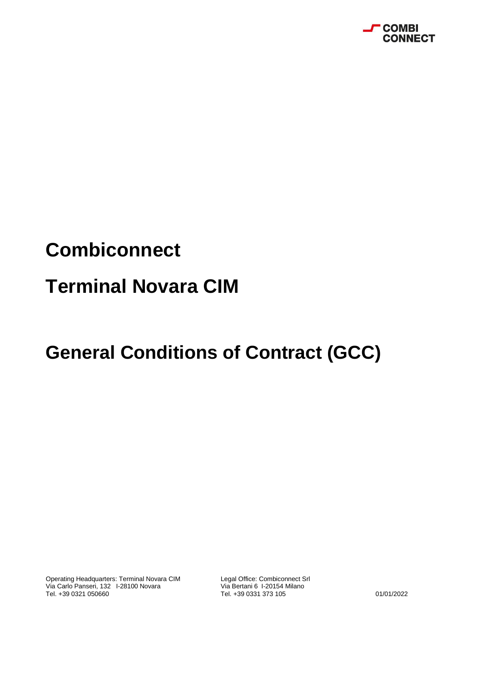

# **Combiconnect**

### **Terminal Novara CIM**

## **General Conditions of Contract (GCC)**

Operating Headquarters: Terminal Novara CIM Legal Office: Combiconnect Srl<br>Via Carlo Panseri, 132 I-28100 Novara Via Bertani 6 I-20154 Milano Via Carlo Panseri, 132 I-28100 Novara<br>Tel. +39 0321 050660

Tel. +39 0331 373 105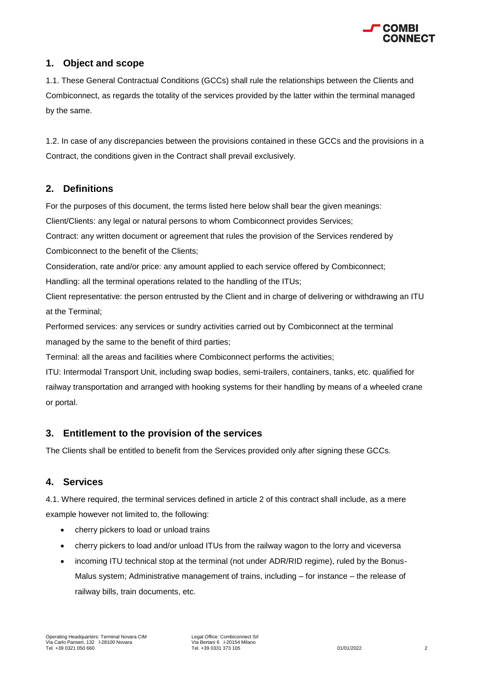

#### **1. Object and scope**

1.1. These General Contractual Conditions (GCCs) shall rule the relationships between the Clients and Combiconnect, as regards the totality of the services provided by the latter within the terminal managed by the same.

1.2. In case of any discrepancies between the provisions contained in these GCCs and the provisions in a Contract, the conditions given in the Contract shall prevail exclusively.

#### **2. Definitions**

For the purposes of this document, the terms listed here below shall bear the given meanings:

Client/Clients: any legal or natural persons to whom Combiconnect provides Services;

Contract: any written document or agreement that rules the provision of the Services rendered by Combiconnect to the benefit of the Clients;

Consideration, rate and/or price: any amount applied to each service offered by Combiconnect;

Handling: all the terminal operations related to the handling of the ITUs;

Client representative: the person entrusted by the Client and in charge of delivering or withdrawing an ITU at the Terminal;

Performed services: any services or sundry activities carried out by Combiconnect at the terminal managed by the same to the benefit of third parties;

Terminal: all the areas and facilities where Combiconnect performs the activities;

ITU: Intermodal Transport Unit, including swap bodies, semi-trailers, containers, tanks, etc. qualified for railway transportation and arranged with hooking systems for their handling by means of a wheeled crane or portal.

#### **3. Entitlement to the provision of the services**

The Clients shall be entitled to benefit from the Services provided only after signing these GCCs.

#### **4. Services**

4.1. Where required, the terminal services defined in article 2 of this contract shall include, as a mere example however not limited to, the following:

- cherry pickers to load or unload trains
- cherry pickers to load and/or unload ITUs from the railway wagon to the lorry and viceversa
- incoming ITU technical stop at the terminal (not under ADR/RID regime), ruled by the Bonus-Malus system; Administrative management of trains, including – for instance – the release of railway bills, train documents, etc.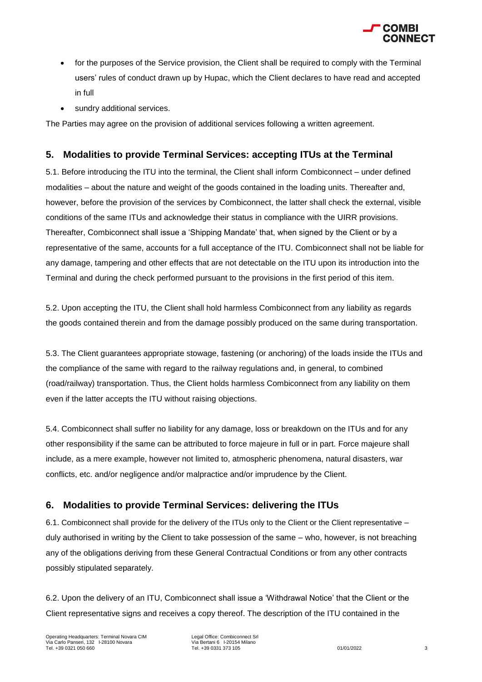

- for the purposes of the Service provision, the Client shall be required to comply with the Terminal users' rules of conduct drawn up by Hupac, which the Client declares to have read and accepted in full
- sundry additional services.

The Parties may agree on the provision of additional services following a written agreement.

#### **5. Modalities to provide Terminal Services: accepting ITUs at the Terminal**

5.1. Before introducing the ITU into the terminal, the Client shall inform Combiconnect – under defined modalities – about the nature and weight of the goods contained in the loading units. Thereafter and, however, before the provision of the services by Combiconnect, the latter shall check the external, visible conditions of the same ITUs and acknowledge their status in compliance with the UIRR provisions. Thereafter, Combiconnect shall issue a 'Shipping Mandate' that, when signed by the Client or by a representative of the same, accounts for a full acceptance of the ITU. Combiconnect shall not be liable for any damage, tampering and other effects that are not detectable on the ITU upon its introduction into the Terminal and during the check performed pursuant to the provisions in the first period of this item.

5.2. Upon accepting the ITU, the Client shall hold harmless Combiconnect from any liability as regards the goods contained therein and from the damage possibly produced on the same during transportation.

5.3. The Client guarantees appropriate stowage, fastening (or anchoring) of the loads inside the ITUs and the compliance of the same with regard to the railway regulations and, in general, to combined (road/railway) transportation. Thus, the Client holds harmless Combiconnect from any liability on them even if the latter accepts the ITU without raising objections.

5.4. Combiconnect shall suffer no liability for any damage, loss or breakdown on the ITUs and for any other responsibility if the same can be attributed to force majeure in full or in part. Force majeure shall include, as a mere example, however not limited to, atmospheric phenomena, natural disasters, war conflicts, etc. and/or negligence and/or malpractice and/or imprudence by the Client.

#### **6. Modalities to provide Terminal Services: delivering the ITUs**

6.1. Combiconnect shall provide for the delivery of the ITUs only to the Client or the Client representative – duly authorised in writing by the Client to take possession of the same – who, however, is not breaching any of the obligations deriving from these General Contractual Conditions or from any other contracts possibly stipulated separately.

6.2. Upon the delivery of an ITU, Combiconnect shall issue a 'Withdrawal Notice' that the Client or the Client representative signs and receives a copy thereof. The description of the ITU contained in the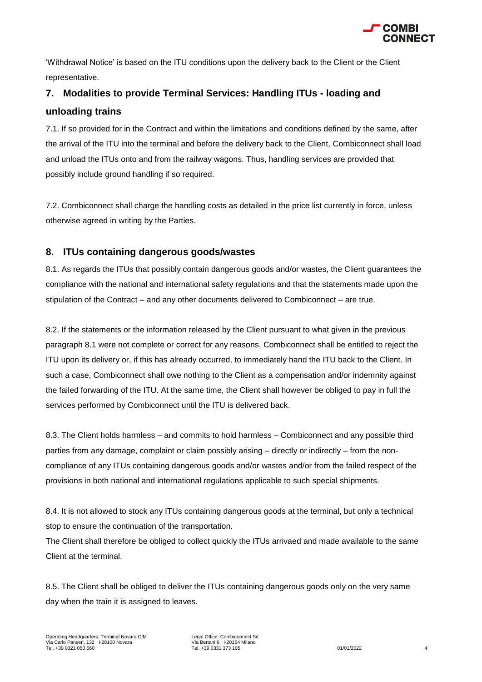

'Withdrawal Notice' is based on the ITU conditions upon the delivery back to the Client or the Client representative.

### **7. Modalities to provide Terminal Services: Handling ITUs - loading and unloading trains**

7.1. If so provided for in the Contract and within the limitations and conditions defined by the same, after the arrival of the ITU into the terminal and before the delivery back to the Client, Combiconnect shall load and unload the ITUs onto and from the railway wagons. Thus, handling services are provided that possibly include ground handling if so required.

7.2. Combiconnect shall charge the handling costs as detailed in the price list currently in force, unless otherwise agreed in writing by the Parties.

#### **8. ITUs containing dangerous goods/wastes**

8.1. As regards the ITUs that possibly contain dangerous goods and/or wastes, the Client guarantees the compliance with the national and international safety regulations and that the statements made upon the stipulation of the Contract – and any other documents delivered to Combiconnect – are true.

8.2. If the statements or the information released by the Client pursuant to what given in the previous paragraph 8.1 were not complete or correct for any reasons, Combiconnect shall be entitled to reject the ITU upon its delivery or, if this has already occurred, to immediately hand the ITU back to the Client. In such a case, Combiconnect shall owe nothing to the Client as a compensation and/or indemnity against the failed forwarding of the ITU. At the same time, the Client shall however be obliged to pay in full the services performed by Combiconnect until the ITU is delivered back.

8.3. The Client holds harmless – and commits to hold harmless – Combiconnect and any possible third parties from any damage, complaint or claim possibly arising – directly or indirectly – from the noncompliance of any ITUs containing dangerous goods and/or wastes and/or from the failed respect of the provisions in both national and international regulations applicable to such special shipments.

8.4. It is not allowed to stock any ITUs containing dangerous goods at the terminal, but only a technical stop to ensure the continuation of the transportation.

The Client shall therefore be obliged to collect quickly the ITUs arrivaed and made available to the same Client at the terminal.

8.5. The Client shall be obliged to deliver the ITUs containing dangerous goods only on the very same day when the train it is assigned to leaves.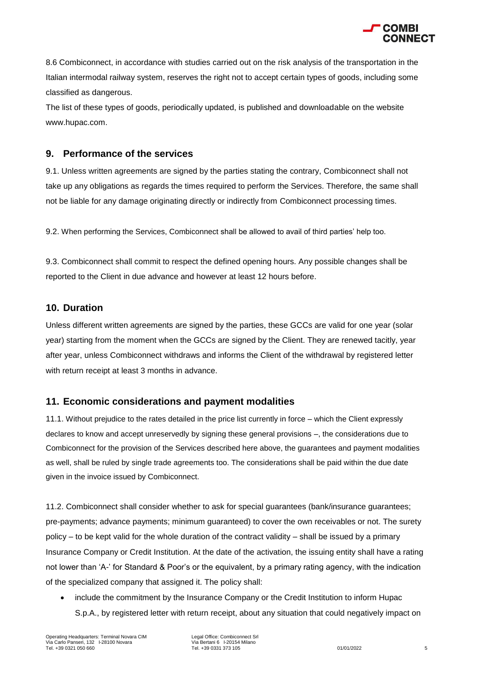

8.6 Combiconnect, in accordance with studies carried out on the risk analysis of the transportation in the Italian intermodal railway system, reserves the right not to accept certain types of goods, including some classified as dangerous.

The list of these types of goods, periodically updated, is published and downloadable on the website www.hupac.com.

#### **9. Performance of the services**

9.1. Unless written agreements are signed by the parties stating the contrary, Combiconnect shall not take up any obligations as regards the times required to perform the Services. Therefore, the same shall not be liable for any damage originating directly or indirectly from Combiconnect processing times.

9.2. When performing the Services, Combiconnect shall be allowed to avail of third parties' help too.

9.3. Combiconnect shall commit to respect the defined opening hours. Any possible changes shall be reported to the Client in due advance and however at least 12 hours before.

#### **10. Duration**

Unless different written agreements are signed by the parties, these GCCs are valid for one year (solar year) starting from the moment when the GCCs are signed by the Client. They are renewed tacitly, year after year, unless Combiconnect withdraws and informs the Client of the withdrawal by registered letter with return receipt at least 3 months in advance.

#### **11. Economic considerations and payment modalities**

11.1. Without prejudice to the rates detailed in the price list currently in force – which the Client expressly declares to know and accept unreservedly by signing these general provisions –, the considerations due to Combiconnect for the provision of the Services described here above, the guarantees and payment modalities as well, shall be ruled by single trade agreements too. The considerations shall be paid within the due date given in the invoice issued by Combiconnect.

11.2. Combiconnect shall consider whether to ask for special guarantees (bank/insurance guarantees; pre-payments; advance payments; minimum guaranteed) to cover the own receivables or not. The surety policy – to be kept valid for the whole duration of the contract validity – shall be issued by a primary Insurance Company or Credit Institution. At the date of the activation, the issuing entity shall have a rating not lower than 'A-' for Standard & Poor's or the equivalent, by a primary rating agency, with the indication of the specialized company that assigned it. The policy shall:

 include the commitment by the Insurance Company or the Credit Institution to inform Hupac S.p.A., by registered letter with return receipt, about any situation that could negatively impact on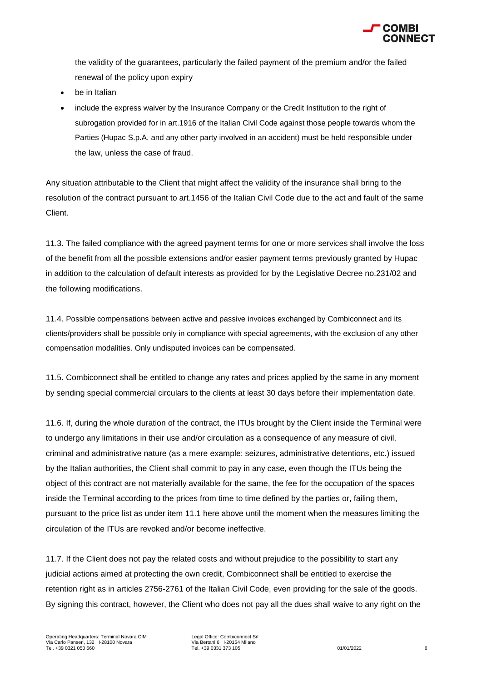

the validity of the guarantees, particularly the failed payment of the premium and/or the failed renewal of the policy upon expiry

- be in Italian
- include the express waiver by the Insurance Company or the Credit Institution to the right of subrogation provided for in art.1916 of the Italian Civil Code against those people towards whom the Parties (Hupac S.p.A. and any other party involved in an accident) must be held responsible under the law, unless the case of fraud.

Any situation attributable to the Client that might affect the validity of the insurance shall bring to the resolution of the contract pursuant to art.1456 of the Italian Civil Code due to the act and fault of the same Client.

11.3. The failed compliance with the agreed payment terms for one or more services shall involve the loss of the benefit from all the possible extensions and/or easier payment terms previously granted by Hupac in addition to the calculation of default interests as provided for by the Legislative Decree no.231/02 and the following modifications.

11.4. Possible compensations between active and passive invoices exchanged by Combiconnect and its clients/providers shall be possible only in compliance with special agreements, with the exclusion of any other compensation modalities. Only undisputed invoices can be compensated.

11.5. Combiconnect shall be entitled to change any rates and prices applied by the same in any moment by sending special commercial circulars to the clients at least 30 days before their implementation date.

11.6. If, during the whole duration of the contract, the ITUs brought by the Client inside the Terminal were to undergo any limitations in their use and/or circulation as a consequence of any measure of civil, criminal and administrative nature (as a mere example: seizures, administrative detentions, etc.) issued by the Italian authorities, the Client shall commit to pay in any case, even though the ITUs being the object of this contract are not materially available for the same, the fee for the occupation of the spaces inside the Terminal according to the prices from time to time defined by the parties or, failing them, pursuant to the price list as under item 11.1 here above until the moment when the measures limiting the circulation of the ITUs are revoked and/or become ineffective.

11.7. If the Client does not pay the related costs and without prejudice to the possibility to start any judicial actions aimed at protecting the own credit, Combiconnect shall be entitled to exercise the retention right as in articles 2756-2761 of the Italian Civil Code, even providing for the sale of the goods. By signing this contract, however, the Client who does not pay all the dues shall waive to any right on the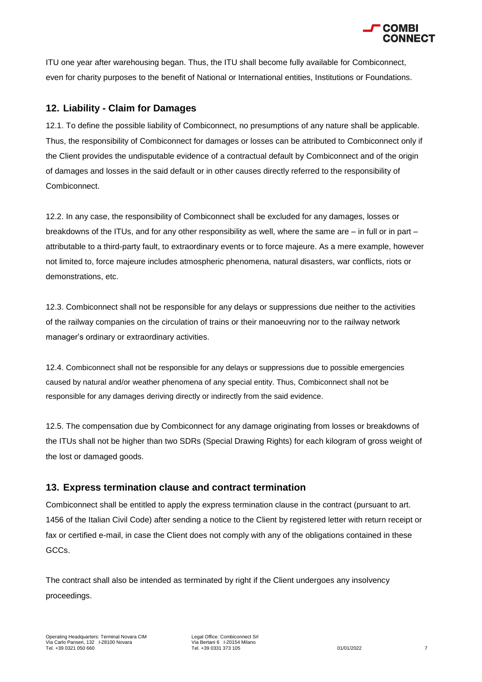

ITU one year after warehousing began. Thus, the ITU shall become fully available for Combiconnect, even for charity purposes to the benefit of National or International entities, Institutions or Foundations.

#### **12. Liability - Claim for Damages**

12.1. To define the possible liability of Combiconnect, no presumptions of any nature shall be applicable. Thus, the responsibility of Combiconnect for damages or losses can be attributed to Combiconnect only if the Client provides the undisputable evidence of a contractual default by Combiconnect and of the origin of damages and losses in the said default or in other causes directly referred to the responsibility of Combiconnect.

12.2. In any case, the responsibility of Combiconnect shall be excluded for any damages, losses or breakdowns of the ITUs, and for any other responsibility as well, where the same are – in full or in part – attributable to a third-party fault, to extraordinary events or to force majeure. As a mere example, however not limited to, force majeure includes atmospheric phenomena, natural disasters, war conflicts, riots or demonstrations, etc.

12.3. Combiconnect shall not be responsible for any delays or suppressions due neither to the activities of the railway companies on the circulation of trains or their manoeuvring nor to the railway network manager's ordinary or extraordinary activities.

12.4. Combiconnect shall not be responsible for any delays or suppressions due to possible emergencies caused by natural and/or weather phenomena of any special entity. Thus, Combiconnect shall not be responsible for any damages deriving directly or indirectly from the said evidence.

12.5. The compensation due by Combiconnect for any damage originating from losses or breakdowns of the ITUs shall not be higher than two SDRs (Special Drawing Rights) for each kilogram of gross weight of the lost or damaged goods.

#### **13. Express termination clause and contract termination**

Combiconnect shall be entitled to apply the express termination clause in the contract (pursuant to art. 1456 of the Italian Civil Code) after sending a notice to the Client by registered letter with return receipt or fax or certified e-mail, in case the Client does not comply with any of the obligations contained in these GCCs.

The contract shall also be intended as terminated by right if the Client undergoes any insolvency proceedings.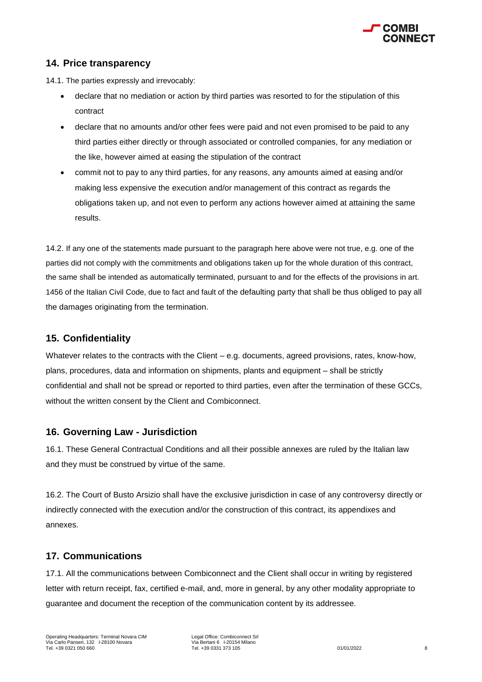

#### **14. Price transparency**

14.1. The parties expressly and irrevocably:

- declare that no mediation or action by third parties was resorted to for the stipulation of this contract
- declare that no amounts and/or other fees were paid and not even promised to be paid to any third parties either directly or through associated or controlled companies, for any mediation or the like, however aimed at easing the stipulation of the contract
- commit not to pay to any third parties, for any reasons, any amounts aimed at easing and/or making less expensive the execution and/or management of this contract as regards the obligations taken up, and not even to perform any actions however aimed at attaining the same results.

14.2. If any one of the statements made pursuant to the paragraph here above were not true, e.g. one of the parties did not comply with the commitments and obligations taken up for the whole duration of this contract, the same shall be intended as automatically terminated, pursuant to and for the effects of the provisions in art. 1456 of the Italian Civil Code, due to fact and fault of the defaulting party that shall be thus obliged to pay all the damages originating from the termination.

#### **15. Confidentiality**

Whatever relates to the contracts with the Client – e.g. documents, agreed provisions, rates, know-how, plans, procedures, data and information on shipments, plants and equipment – shall be strictly confidential and shall not be spread or reported to third parties, even after the termination of these GCCs, without the written consent by the Client and Combiconnect.

#### **16. Governing Law - Jurisdiction**

16.1. These General Contractual Conditions and all their possible annexes are ruled by the Italian law and they must be construed by virtue of the same.

16.2. The Court of Busto Arsizio shall have the exclusive jurisdiction in case of any controversy directly or indirectly connected with the execution and/or the construction of this contract, its appendixes and annexes.

#### **17. Communications**

17.1. All the communications between Combiconnect and the Client shall occur in writing by registered letter with return receipt, fax, certified e-mail, and, more in general, by any other modality appropriate to guarantee and document the reception of the communication content by its addressee.